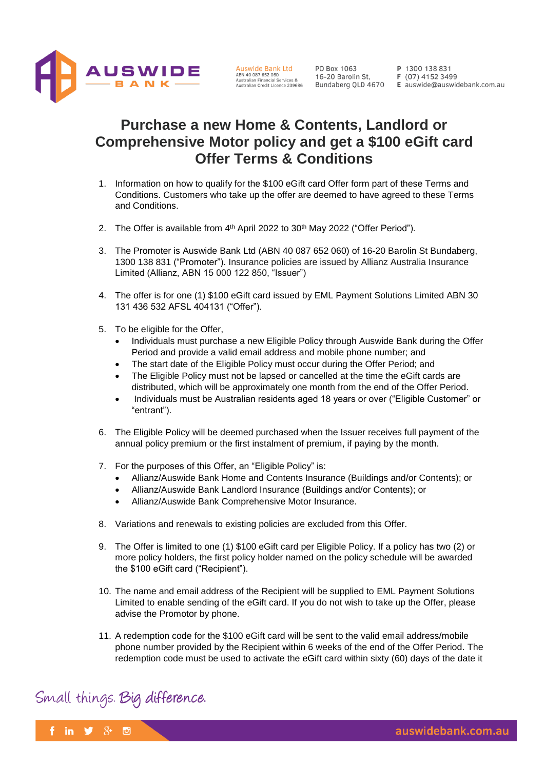

## **Purchase a new Home & Contents, Landlord or Comprehensive Motor policy and get a \$100 eGift card Offer Terms & Conditions**

- 1. Information on how to qualify for the \$100 eGift card Offer form part of these Terms and Conditions. Customers who take up the offer are deemed to have agreed to these Terms and Conditions.
- 2. The Offer is available from 4<sup>th</sup> April 2022 to 30<sup>th</sup> May 2022 ("Offer Period").
- 3. The Promoter is Auswide Bank Ltd (ABN 40 087 652 060) of 16-20 Barolin St Bundaberg, 1300 138 831 ("Promoter"). Insurance policies are issued by Allianz Australia Insurance Limited (Allianz, ABN 15 000 122 850, "Issuer")
- 4. The offer is for one (1) \$100 eGift card issued by EML Payment Solutions Limited ABN 30 131 436 532 AFSL 404131 ("Offer").
- 5. To be eligible for the Offer,
	- Individuals must purchase a new Eligible Policy through Auswide Bank during the Offer Period and provide a valid email address and mobile phone number; and
	- The start date of the Eligible Policy must occur during the Offer Period; and
	- The Eligible Policy must not be lapsed or cancelled at the time the eGift cards are distributed, which will be approximately one month from the end of the Offer Period.
	- Individuals must be Australian residents aged 18 years or over ("Eligible Customer" or "entrant").
- 6. The Eligible Policy will be deemed purchased when the Issuer receives full payment of the annual policy premium or the first instalment of premium, if paying by the month.
- 7. For the purposes of this Offer, an "Eligible Policy" is:
	- Allianz/Auswide Bank Home and Contents Insurance (Buildings and/or Contents); or
	- Allianz/Auswide Bank Landlord Insurance (Buildings and/or Contents); or
	- Allianz/Auswide Bank Comprehensive Motor Insurance.
- 8. Variations and renewals to existing policies are excluded from this Offer.
- 9. The Offer is limited to one (1) \$100 eGift card per Eligible Policy. If a policy has two (2) or more policy holders, the first policy holder named on the policy schedule will be awarded the \$100 eGift card ("Recipient").
- 10. The name and email address of the Recipient will be supplied to EML Payment Solutions Limited to enable sending of the eGift card. If you do not wish to take up the Offer, please advise the Promotor by phone.
- 11. A redemption code for the \$100 eGift card will be sent to the valid email address/mobile phone number provided by the Recipient within 6 weeks of the end of the Offer Period. The redemption code must be used to activate the eGift card within sixty (60) days of the date it

## Small things. Big difference.